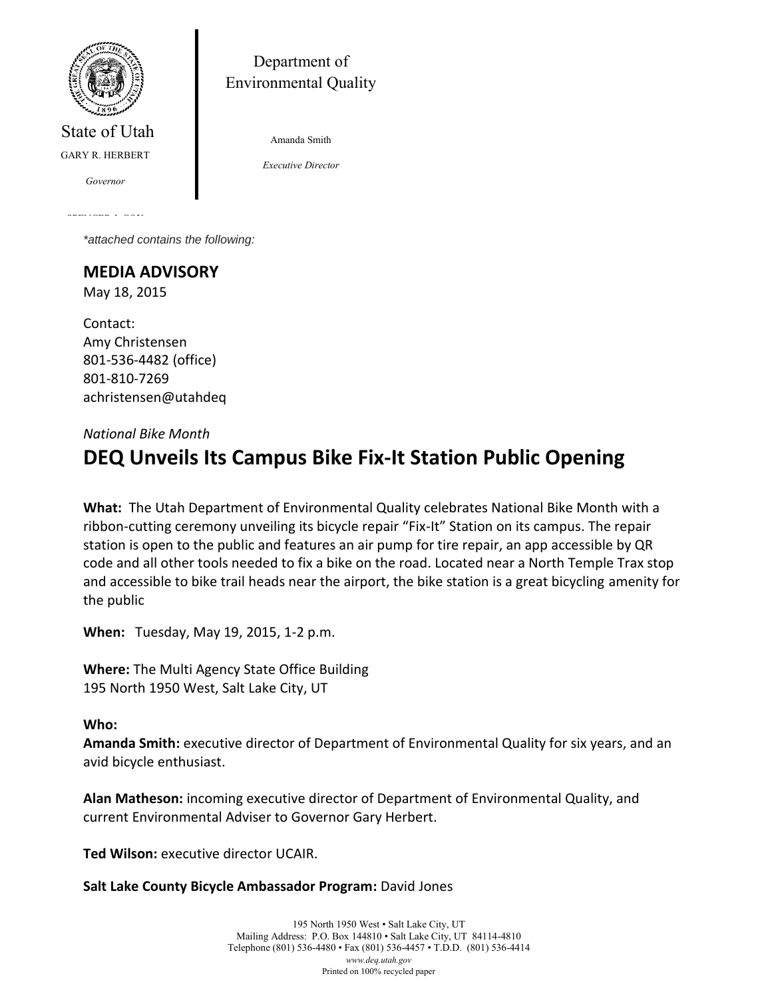

State of Utah GARY R. HERBERT

*Governor*

SPENCER J. COX

Department of Environmental Quality

Amanda Smith

*Executive Director*

*Lieutenant Governor \*attached contains the following:*

**MEDIA ADVISORY** May 18, 2015

Contact: Amy Christensen 801-536-4482 (office) 801-810-7269 achristensen@utahdeq

## *National Bike Month*

## **DEQ Unveils Its Campus Bike Fix-It Station Public Opening**

**What:** The Utah Department of Environmental Quality celebrates National Bike Month with a ribbon-cutting ceremony unveiling its bicycle repair "Fix-It" Station on its campus. The repair station is open to the public and features an air pump for tire repair, an app accessible by QR code and all other tools needed to fix a bike on the road. Located near a North Temple Trax stop and accessible to bike trail heads near the airport, the bike station is a great bicycling amenity for the public

**When:** Tuesday, May 19, 2015, 1-2 p.m.

**Where:** The Multi Agency State Office Building 195 North 1950 West, Salt Lake City, UT

## **Who:**

**Amanda Smith:** executive director of Department of Environmental Quality for six years, and an avid bicycle enthusiast.

**Alan Matheson:** incoming executive director of Department of Environmental Quality, and current Environmental Adviser to Governor Gary Herbert.

**Ted Wilson:** executive director UCAIR.

**Salt Lake County Bicycle Ambassador Program:** David Jones